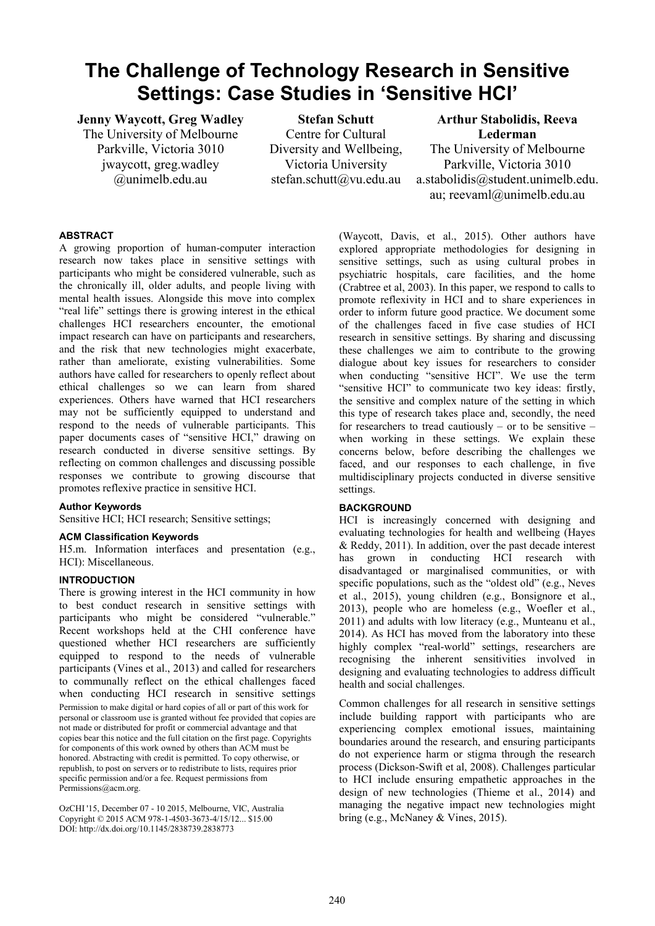# **The Challenge of Technology Research in Sensitive Settings: Case Studies in 'Sensitive HCI'**

**Jenny Waycott, Greg Wadley**  The University of Melbourne Parkville, Victoria 3010 jwaycott, greg.wadley @unimelb.edu.au

**Stefan Schutt** Centre for Cultural Diversity and Wellbeing, Victoria University stefan.schutt@vu.edu.au

**Arthur Stabolidis, Reeva Lederman**

The University of Melbourne Parkville, Victoria 3010 a.stabolidis@student.unimelb.edu. au; reevaml@unimelb.edu.au

# **ABSTRACT**

A growing proportion of human-computer interaction research now takes place in sensitive settings with participants who might be considered vulnerable, such as the chronically ill, older adults, and people living with mental health issues. Alongside this move into complex "real life" settings there is growing interest in the ethical challenges HCI researchers encounter, the emotional impact research can have on participants and researchers, and the risk that new technologies might exacerbate, rather than ameliorate, existing vulnerabilities. Some authors have called for researchers to openly reflect about ethical challenges so we can learn from shared experiences. Others have warned that HCI researchers may not be sufficiently equipped to understand and respond to the needs of vulnerable participants. This paper documents cases of "sensitive HCI," drawing on research conducted in diverse sensitive settings. By reflecting on common challenges and discussing possible responses we contribute to growing discourse that promotes reflexive practice in sensitive HCI.

# **Author Keywords**

Sensitive HCI; HCI research; Sensitive settings;

# **ACM Classification Keywords**

H5.m. Information interfaces and presentation (e.g., HCI): Miscellaneous.

# **INTRODUCTION**

There is growing interest in the HCI community in how to best conduct research in sensitive settings with participants who might be considered "vulnerable." Recent workshops held at the CHI conference have questioned whether HCI researchers are sufficiently equipped to respond to the needs of vulnerable participants (Vines et al., 2013) and called for researchers to communally reflect on the ethical challenges faced when conducting HCI research in sensitive settings Permission to make digital or hard copies of all or part of this work for personal or classroom use is granted without fee provided that copies are not made or distributed for profit or commercial advantage and that copies bear this notice and the full citation on the first page. Copyrights for components of this work owned by others than ACM must be honored. Abstracting with credit is permitted. To copy otherwise, or republish, to post on servers or to redistribute to lists, requires prior specific permission and/or a fee. Request permissions from Permissions@acm.org.

OzCHI '15, December 07 - 10 2015, Melbourne, VIC, Australia Copyright © 2015 ACM 978-1-4503-3673-4/15/12... \$15.00 DOI: http://dx.doi.org/10.1145/2838739.2838773

(Waycott, Davis, et al., 2015). Other authors have explored appropriate methodologies for designing in sensitive settings, such as using cultural probes in psychiatric hospitals, care facilities, and the home (Crabtree et al, 2003). In this paper, we respond to calls to promote reflexivity in HCI and to share experiences in order to inform future good practice. We document some of the challenges faced in five case studies of HCI research in sensitive settings. By sharing and discussing these challenges we aim to contribute to the growing dialogue about key issues for researchers to consider when conducting "sensitive HCI". We use the term "sensitive HCI" to communicate two key ideas: firstly, the sensitive and complex nature of the setting in which this type of research takes place and, secondly, the need for researchers to tread cautiously – or to be sensitive – when working in these settings. We explain these concerns below, before describing the challenges we faced, and our responses to each challenge, in five multidisciplinary projects conducted in diverse sensitive settings.

# **BACKGROUND**

HCI is increasingly concerned with designing and evaluating technologies for health and wellbeing (Hayes & Reddy, 2011). In addition, over the past decade interest has grown in conducting HCI research with disadvantaged or marginalised communities, or with specific populations, such as the "oldest old" (e.g., Neves et al., 2015), young children (e.g., Bonsignore et al., 2013), people who are homeless (e.g., Woefler et al., 2011) and adults with low literacy (e.g., Munteanu et al., 2014). As HCI has moved from the laboratory into these highly complex "real-world" settings, researchers are recognising the inherent sensitivities involved in designing and evaluating technologies to address difficult health and social challenges.

Common challenges for all research in sensitive settings include building rapport with participants who are experiencing complex emotional issues, maintaining boundaries around the research, and ensuring participants do not experience harm or stigma through the research process (Dickson-Swift et al, 2008). Challenges particular to HCI include ensuring empathetic approaches in the design of new technologies (Thieme et al., 2014) and managing the negative impact new technologies might bring (e.g., McNaney & Vines, 2015).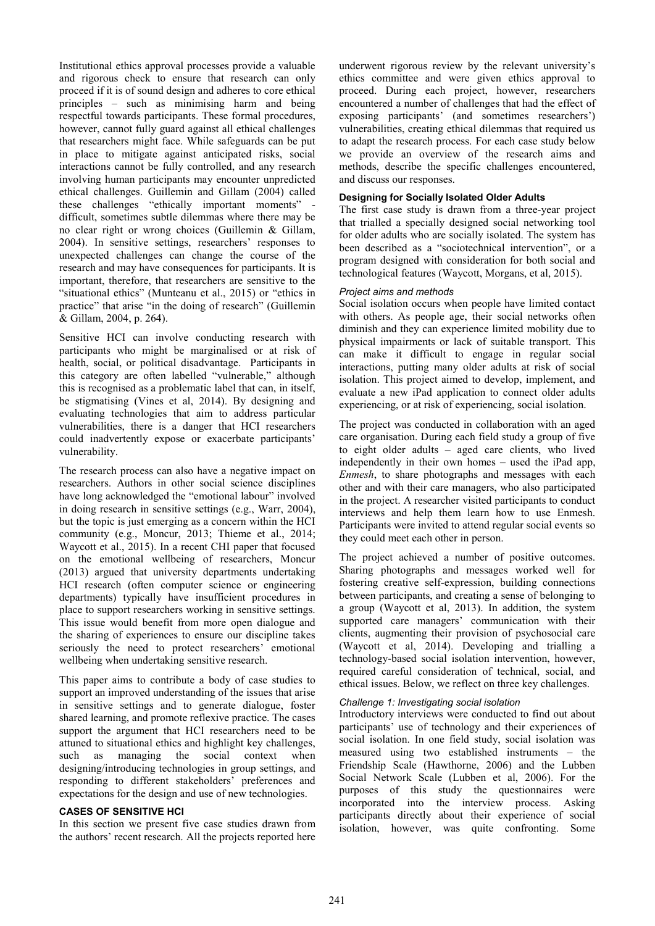Institutional ethics approval processes provide a valuable and rigorous check to ensure that research can only proceed if it is of sound design and adheres to core ethical principles – such as minimising harm and being respectful towards participants. These formal procedures, however, cannot fully guard against all ethical challenges that researchers might face. While safeguards can be put in place to mitigate against anticipated risks, social interactions cannot be fully controlled, and any research involving human participants may encounter unpredicted ethical challenges. Guillemin and Gillam (2004) called these challenges "ethically important moments" difficult, sometimes subtle dilemmas where there may be no clear right or wrong choices (Guillemin & Gillam, 2004). In sensitive settings, researchers' responses to unexpected challenges can change the course of the research and may have consequences for participants. It is important, therefore, that researchers are sensitive to the "situational ethics" (Munteanu et al., 2015) or "ethics in practice" that arise "in the doing of research" (Guillemin & Gillam, 2004, p. 264).

Sensitive HCI can involve conducting research with participants who might be marginalised or at risk of health, social, or political disadvantage. Participants in this category are often labelled "vulnerable," although this is recognised as a problematic label that can, in itself, be stigmatising (Vines et al, 2014). By designing and evaluating technologies that aim to address particular vulnerabilities, there is a danger that HCI researchers could inadvertently expose or exacerbate participants' vulnerability.

The research process can also have a negative impact on researchers. Authors in other social science disciplines have long acknowledged the "emotional labour" involved in doing research in sensitive settings (e.g., Warr, 2004), but the topic is just emerging as a concern within the HCI community (e.g., Moncur, 2013; Thieme et al., 2014; Waycott et al., 2015). In a recent CHI paper that focused on the emotional wellbeing of researchers, Moncur (2013) argued that university departments undertaking HCI research (often computer science or engineering departments) typically have insufficient procedures in place to support researchers working in sensitive settings. This issue would benefit from more open dialogue and the sharing of experiences to ensure our discipline takes seriously the need to protect researchers' emotional wellbeing when undertaking sensitive research.

This paper aims to contribute a body of case studies to support an improved understanding of the issues that arise in sensitive settings and to generate dialogue, foster shared learning, and promote reflexive practice. The cases support the argument that HCI researchers need to be attuned to situational ethics and highlight key challenges, such as managing the social context when designing/introducing technologies in group settings, and responding to different stakeholders' preferences and expectations for the design and use of new technologies.

# **CASES OF SENSITIVE HCI**

In this section we present five case studies drawn from the authors' recent research. All the projects reported here underwent rigorous review by the relevant university's ethics committee and were given ethics approval to proceed. During each project, however, researchers encountered a number of challenges that had the effect of exposing participants' (and sometimes researchers') vulnerabilities, creating ethical dilemmas that required us to adapt the research process. For each case study below we provide an overview of the research aims and methods, describe the specific challenges encountered, and discuss our responses.

# **Designing for Socially Isolated Older Adults**

The first case study is drawn from a three-year project that trialled a specially designed social networking tool for older adults who are socially isolated. The system has been described as a "sociotechnical intervention", or a program designed with consideration for both social and technological features (Waycott, Morgans, et al, 2015).

#### *Project aims and methods*

Social isolation occurs when people have limited contact with others. As people age, their social networks often diminish and they can experience limited mobility due to physical impairments or lack of suitable transport. This can make it difficult to engage in regular social interactions, putting many older adults at risk of social isolation. This project aimed to develop, implement, and evaluate a new iPad application to connect older adults experiencing, or at risk of experiencing, social isolation.

The project was conducted in collaboration with an aged care organisation. During each field study a group of five to eight older adults – aged care clients, who lived independently in their own homes – used the iPad app, *Enmesh*, to share photographs and messages with each other and with their care managers, who also participated in the project. A researcher visited participants to conduct interviews and help them learn how to use Enmesh. Participants were invited to attend regular social events so they could meet each other in person.

The project achieved a number of positive outcomes. Sharing photographs and messages worked well for fostering creative self-expression, building connections between participants, and creating a sense of belonging to a group (Waycott et al, 2013). In addition, the system supported care managers' communication with their clients, augmenting their provision of psychosocial care (Waycott et al, 2014). Developing and trialling a technology-based social isolation intervention, however, required careful consideration of technical, social, and ethical issues. Below, we reflect on three key challenges.

#### *Challenge 1: Investigating social isolation*

Introductory interviews were conducted to find out about participants' use of technology and their experiences of social isolation. In one field study, social isolation was measured using two established instruments – the Friendship Scale (Hawthorne, 2006) and the Lubben Social Network Scale (Lubben et al, 2006). For the purposes of this study the questionnaires were incorporated into the interview process. Asking participants directly about their experience of social isolation, however, was quite confronting. Some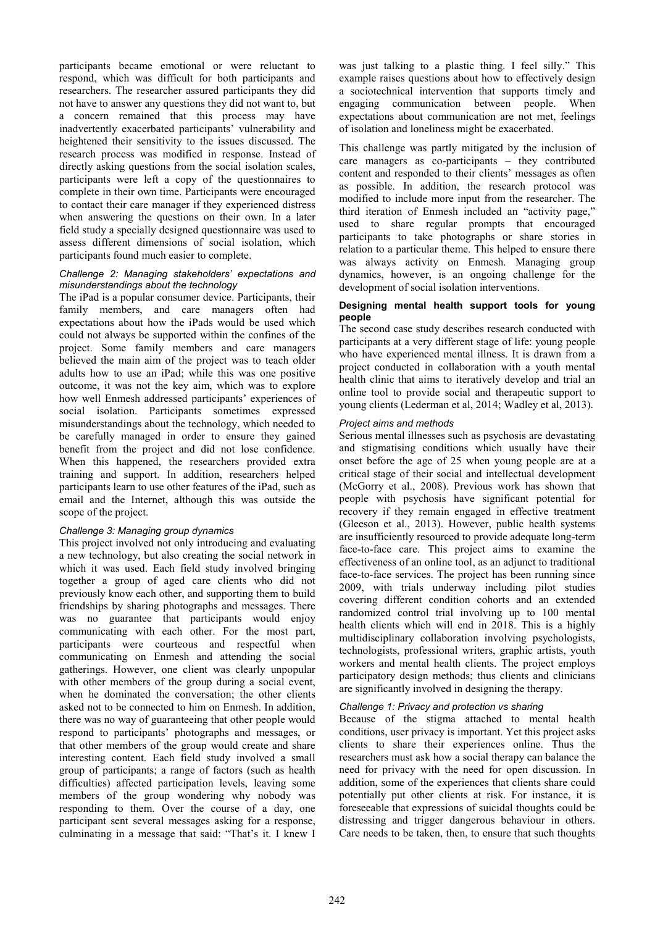participants became emotional or were reluctant to respond, which was difficult for both participants and researchers. The researcher assured participants they did not have to answer any questions they did not want to, but a concern remained that this process may have inadvertently exacerbated participants' vulnerability and heightened their sensitivity to the issues discussed. The research process was modified in response. Instead of directly asking questions from the social isolation scales, participants were left a copy of the questionnaires to complete in their own time. Participants were encouraged to contact their care manager if they experienced distress when answering the questions on their own. In a later field study a specially designed questionnaire was used to assess different dimensions of social isolation, which participants found much easier to complete.

#### *Challenge 2: Managing stakeholders' expectations and misunderstandings about the technology*

The iPad is a popular consumer device. Participants, their family members, and care managers often had expectations about how the iPads would be used which could not always be supported within the confines of the project. Some family members and care managers believed the main aim of the project was to teach older adults how to use an iPad; while this was one positive outcome, it was not the key aim, which was to explore how well Enmesh addressed participants' experiences of social isolation. Participants sometimes expressed misunderstandings about the technology, which needed to be carefully managed in order to ensure they gained benefit from the project and did not lose confidence. When this happened, the researchers provided extra training and support. In addition, researchers helped participants learn to use other features of the iPad, such as email and the Internet, although this was outside the scope of the project.

# *Challenge 3: Managing group dynamics*

This project involved not only introducing and evaluating a new technology, but also creating the social network in which it was used. Each field study involved bringing together a group of aged care clients who did not previously know each other, and supporting them to build friendships by sharing photographs and messages. There was no guarantee that participants would enjoy communicating with each other. For the most part, participants were courteous and respectful when communicating on Enmesh and attending the social gatherings. However, one client was clearly unpopular with other members of the group during a social event, when he dominated the conversation; the other clients asked not to be connected to him on Enmesh. In addition, there was no way of guaranteeing that other people would respond to participants' photographs and messages, or that other members of the group would create and share interesting content. Each field study involved a small group of participants; a range of factors (such as health difficulties) affected participation levels, leaving some members of the group wondering why nobody was responding to them. Over the course of a day, one participant sent several messages asking for a response, culminating in a message that said: "That's it. I knew I

was just talking to a plastic thing. I feel silly." This example raises questions about how to effectively design a sociotechnical intervention that supports timely and engaging communication between people. When expectations about communication are not met, feelings of isolation and loneliness might be exacerbated.

This challenge was partly mitigated by the inclusion of care managers as co-participants – they contributed content and responded to their clients' messages as often as possible. In addition, the research protocol was modified to include more input from the researcher. The third iteration of Enmesh included an "activity page," used to share regular prompts that encouraged participants to take photographs or share stories in relation to a particular theme. This helped to ensure there was always activity on Enmesh. Managing group dynamics, however, is an ongoing challenge for the development of social isolation interventions.

#### **Designing mental health support tools for young people**

The second case study describes research conducted with participants at a very different stage of life: young people who have experienced mental illness. It is drawn from a project conducted in collaboration with a youth mental health clinic that aims to iteratively develop and trial an online tool to provide social and therapeutic support to young clients (Lederman et al, 2014; Wadley et al, 2013).

#### *Project aims and methods*

Serious mental illnesses such as psychosis are devastating and stigmatising conditions which usually have their onset before the age of 25 when young people are at a critical stage of their social and intellectual development (McGorry et al., 2008). Previous work has shown that people with psychosis have significant potential for recovery if they remain engaged in effective treatment (Gleeson et al., 2013). However, public health systems are insufficiently resourced to provide adequate long-term face-to-face care. This project aims to examine the effectiveness of an online tool, as an adjunct to traditional face-to-face services. The project has been running since 2009, with trials underway including pilot studies covering different condition cohorts and an extended randomized control trial involving up to 100 mental health clients which will end in 2018. This is a highly multidisciplinary collaboration involving psychologists, technologists, professional writers, graphic artists, youth workers and mental health clients. The project employs participatory design methods; thus clients and clinicians are significantly involved in designing the therapy.

#### *Challenge 1: Privacy and protection vs sharing*

Because of the stigma attached to mental health conditions, user privacy is important. Yet this project asks clients to share their experiences online. Thus the researchers must ask how a social therapy can balance the need for privacy with the need for open discussion. In addition, some of the experiences that clients share could potentially put other clients at risk. For instance, it is foreseeable that expressions of suicidal thoughts could be distressing and trigger dangerous behaviour in others. Care needs to be taken, then, to ensure that such thoughts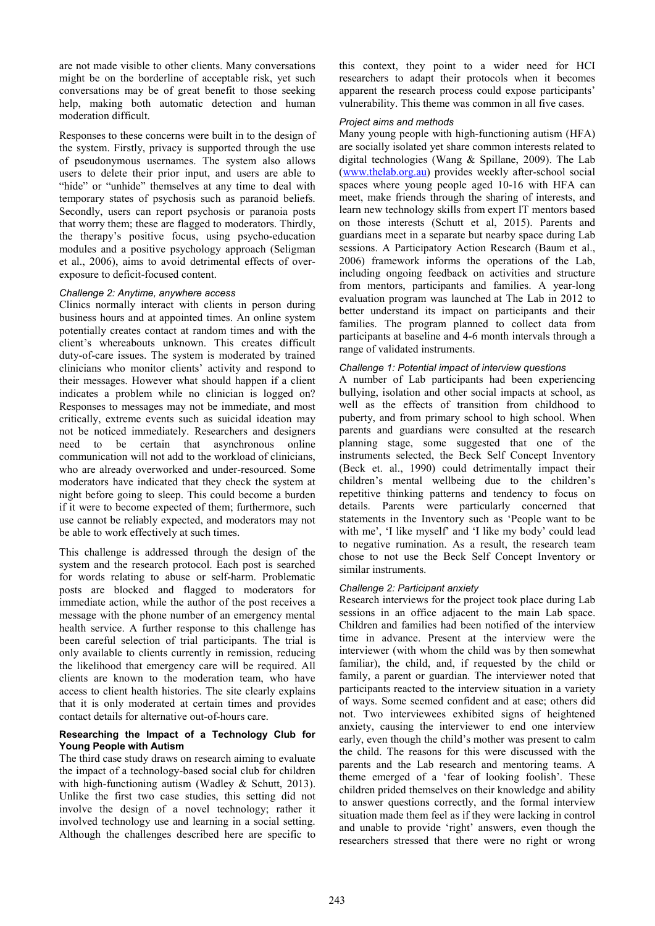are not made visible to other clients. Many conversations might be on the borderline of acceptable risk, yet such conversations may be of great benefit to those seeking help, making both automatic detection and human moderation difficult.

Responses to these concerns were built in to the design of the system. Firstly, privacy is supported through the use of pseudonymous usernames. The system also allows users to delete their prior input, and users are able to "hide" or "unhide" themselves at any time to deal with temporary states of psychosis such as paranoid beliefs. Secondly, users can report psychosis or paranoia posts that worry them; these are flagged to moderators. Thirdly, the therapy's positive focus, using psycho-education modules and a positive psychology approach (Seligman et al., 2006), aims to avoid detrimental effects of overexposure to deficit-focused content.

#### *Challenge 2: Anytime, anywhere access*

Clinics normally interact with clients in person during business hours and at appointed times. An online system potentially creates contact at random times and with the client's whereabouts unknown. This creates difficult duty-of-care issues. The system is moderated by trained clinicians who monitor clients' activity and respond to their messages. However what should happen if a client indicates a problem while no clinician is logged on? Responses to messages may not be immediate, and most critically, extreme events such as suicidal ideation may not be noticed immediately. Researchers and designers need to be certain that asynchronous online communication will not add to the workload of clinicians, who are already overworked and under-resourced. Some moderators have indicated that they check the system at night before going to sleep. This could become a burden if it were to become expected of them; furthermore, such use cannot be reliably expected, and moderators may not be able to work effectively at such times.

This challenge is addressed through the design of the system and the research protocol. Each post is searched for words relating to abuse or self-harm. Problematic posts are blocked and flagged to moderators for immediate action, while the author of the post receives a message with the phone number of an emergency mental health service. A further response to this challenge has been careful selection of trial participants. The trial is only available to clients currently in remission, reducing the likelihood that emergency care will be required. All clients are known to the moderation team, who have access to client health histories. The site clearly explains that it is only moderated at certain times and provides contact details for alternative out-of-hours care.

#### **Researching the Impact of a Technology Club for Young People with Autism**

The third case study draws on research aiming to evaluate the impact of a technology-based social club for children with high-functioning autism (Wadley & Schutt, 2013). Unlike the first two case studies, this setting did not involve the design of a novel technology; rather it involved technology use and learning in a social setting. Although the challenges described here are specific to

this context, they point to a wider need for HCI researchers to adapt their protocols when it becomes apparent the research process could expose participants' vulnerability. This theme was common in all five cases.

#### *Project aims and methods*

Many young people with high-functioning autism (HFA) are socially isolated yet share common interests related to digital technologies (Wang & Spillane, 2009). The Lab [\(www.thelab.org.au\)](https://webmail.vu.edu.au/owa/redir.aspx?SURL=TCulomcutlAAX5k0MJoxcP69_0QOgt9wHSprGWW5Ad1UdXym827SCGgAdAB0AHAAOgAvAC8AdwB3AHcALgB0AGgAZQBsAGEAYgAuAG8AcgBnAC4AYQB1AA..&URL=http%3a%2f%2fwww.thelab.org.au) provides weekly after-school social spaces where young people aged 10-16 with HFA can meet, make friends through the sharing of interests, and learn new technology skills from expert IT mentors based on those interests (Schutt et al, 2015). Parents and guardians meet in a separate but nearby space during Lab sessions. A Participatory Action Research (Baum et al., 2006) framework informs the operations of the Lab, including ongoing feedback on activities and structure from mentors, participants and families. A year-long evaluation program was launched at The Lab in 2012 to better understand its impact on participants and their families. The program planned to collect data from participants at baseline and 4-6 month intervals through a range of validated instruments.

#### *Challenge 1: Potential impact of interview questions*

A number of Lab participants had been experiencing bullying, isolation and other social impacts at school, as well as the effects of transition from childhood to puberty, and from primary school to high school. When parents and guardians were consulted at the research planning stage, some suggested that one of the instruments selected, the Beck Self Concept Inventory (Beck et. al., 1990) could detrimentally impact their children's mental wellbeing due to the children's repetitive thinking patterns and tendency to focus on details. Parents were particularly concerned that statements in the Inventory such as 'People want to be with me', 'I like myself' and 'I like my body' could lead to negative rumination. As a result, the research team chose to not use the Beck Self Concept Inventory or similar instruments.

# *Challenge 2: Participant anxiety*

Research interviews for the project took place during Lab sessions in an office adjacent to the main Lab space. Children and families had been notified of the interview time in advance. Present at the interview were the interviewer (with whom the child was by then somewhat familiar), the child, and, if requested by the child or family, a parent or guardian. The interviewer noted that participants reacted to the interview situation in a variety of ways. Some seemed confident and at ease; others did not. Two interviewees exhibited signs of heightened anxiety, causing the interviewer to end one interview early, even though the child's mother was present to calm the child. The reasons for this were discussed with the parents and the Lab research and mentoring teams. A theme emerged of a 'fear of looking foolish'. These children prided themselves on their knowledge and ability to answer questions correctly, and the formal interview situation made them feel as if they were lacking in control and unable to provide 'right' answers, even though the researchers stressed that there were no right or wrong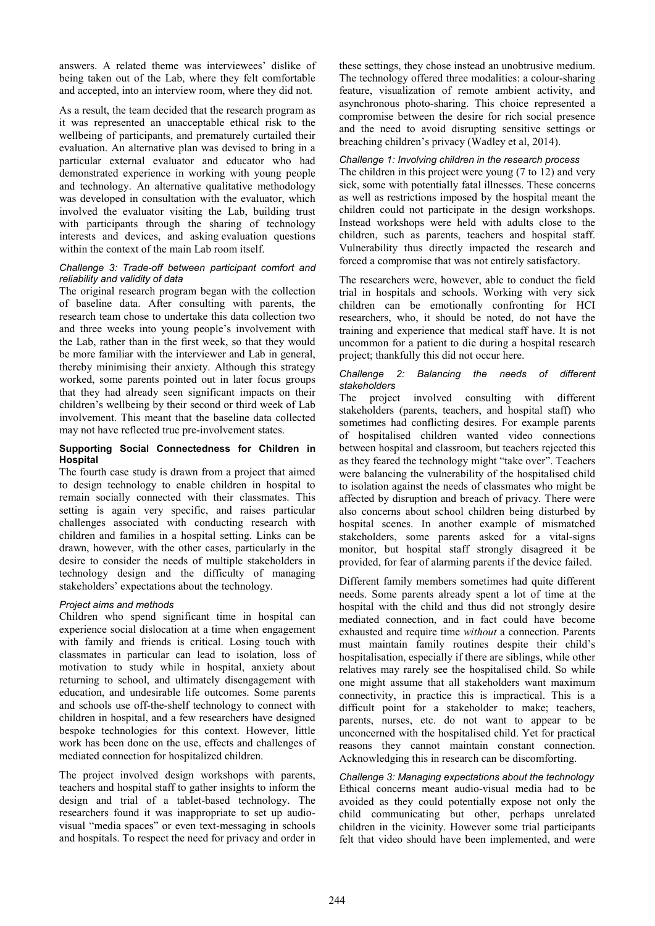answers. A related theme was interviewees' dislike of being taken out of the Lab, where they felt comfortable and accepted, into an interview room, where they did not.

As a result, the team decided that the research program as it was represented an unacceptable ethical risk to the wellbeing of participants, and prematurely curtailed their evaluation. An alternative plan was devised to bring in a particular external evaluator and educator who had demonstrated experience in working with young people and technology. An alternative qualitative methodology was developed in consultation with the evaluator, which involved the evaluator visiting the Lab, building trust with participants through the sharing of technology interests and devices, and asking evaluation questions within the context of the main Lab room itself.

#### *Challenge 3: Trade-off between participant comfort and reliability and validity of data*

The original research program began with the collection of baseline data. After consulting with parents, the research team chose to undertake this data collection two and three weeks into young people's involvement with the Lab, rather than in the first week, so that they would be more familiar with the interviewer and Lab in general, thereby minimising their anxiety. Although this strategy worked, some parents pointed out in later focus groups that they had already seen significant impacts on their children's wellbeing by their second or third week of Lab involvement. This meant that the baseline data collected may not have reflected true pre-involvement states.

#### **Supporting Social Connectedness for Children in Hospital**

The fourth case study is drawn from a project that aimed to design technology to enable children in hospital to remain socially connected with their classmates. This setting is again very specific, and raises particular challenges associated with conducting research with children and families in a hospital setting. Links can be drawn, however, with the other cases, particularly in the desire to consider the needs of multiple stakeholders in technology design and the difficulty of managing stakeholders' expectations about the technology.

# *Project aims and methods*

Children who spend significant time in hospital can experience social dislocation at a time when engagement with family and friends is critical. Losing touch with classmates in particular can lead to isolation, loss of motivation to study while in hospital, anxiety about returning to school, and ultimately disengagement with education, and undesirable life outcomes. Some parents and schools use off-the-shelf technology to connect with children in hospital, and a few researchers have designed bespoke technologies for this context. However, little work has been done on the use, effects and challenges of mediated connection for hospitalized children.

The project involved design workshops with parents, teachers and hospital staff to gather insights to inform the design and trial of a tablet-based technology. The researchers found it was inappropriate to set up audiovisual "media spaces" or even text-messaging in schools and hospitals. To respect the need for privacy and order in these settings, they chose instead an unobtrusive medium. The technology offered three modalities: a colour-sharing feature, visualization of remote ambient activity, and asynchronous photo-sharing. This choice represented a compromise between the desire for rich social presence and the need to avoid disrupting sensitive settings or breaching children's privacy (Wadley et al, 2014).

#### *Challenge 1: Involving children in the research process*

The children in this project were young (7 to 12) and very sick, some with potentially fatal illnesses. These concerns as well as restrictions imposed by the hospital meant the children could not participate in the design workshops. Instead workshops were held with adults close to the children, such as parents, teachers and hospital staff. Vulnerability thus directly impacted the research and forced a compromise that was not entirely satisfactory.

The researchers were, however, able to conduct the field trial in hospitals and schools. Working with very sick children can be emotionally confronting for HCI researchers, who, it should be noted, do not have the training and experience that medical staff have. It is not uncommon for a patient to die during a hospital research project; thankfully this did not occur here.

#### *Challenge 2: Balancing the needs of different stakeholders*

The project involved consulting with different stakeholders (parents, teachers, and hospital staff) who sometimes had conflicting desires. For example parents of hospitalised children wanted video connections between hospital and classroom, but teachers rejected this as they feared the technology might "take over". Teachers were balancing the vulnerability of the hospitalised child to isolation against the needs of classmates who might be affected by disruption and breach of privacy. There were also concerns about school children being disturbed by hospital scenes. In another example of mismatched stakeholders, some parents asked for a vital-signs monitor, but hospital staff strongly disagreed it be provided, for fear of alarming parents if the device failed.

Different family members sometimes had quite different needs. Some parents already spent a lot of time at the hospital with the child and thus did not strongly desire mediated connection, and in fact could have become exhausted and require time *without* a connection. Parents must maintain family routines despite their child's hospitalisation, especially if there are siblings, while other relatives may rarely see the hospitalised child. So while one might assume that all stakeholders want maximum connectivity, in practice this is impractical. This is a difficult point for a stakeholder to make; teachers, parents, nurses, etc. do not want to appear to be unconcerned with the hospitalised child. Yet for practical reasons they cannot maintain constant connection. Acknowledging this in research can be discomforting.

*Challenge 3: Managing expectations about the technology* Ethical concerns meant audio-visual media had to be avoided as they could potentially expose not only the child communicating but other, perhaps unrelated children in the vicinity. However some trial participants felt that video should have been implemented, and were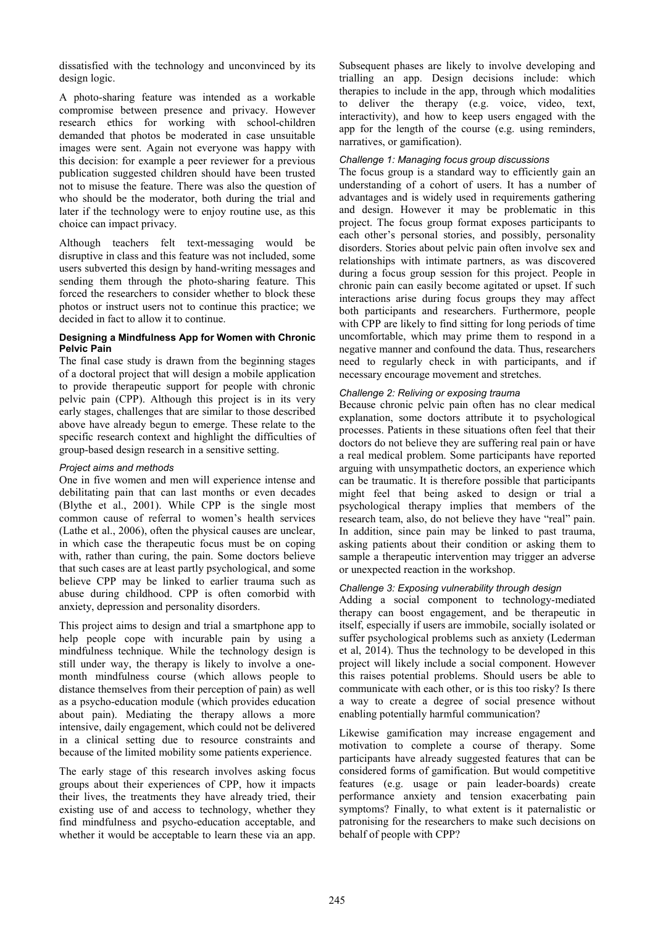dissatisfied with the technology and unconvinced by its design logic.

A photo-sharing feature was intended as a workable compromise between presence and privacy. However research ethics for working with school-children demanded that photos be moderated in case unsuitable images were sent. Again not everyone was happy with this decision: for example a peer reviewer for a previous publication suggested children should have been trusted not to misuse the feature. There was also the question of who should be the moderator, both during the trial and later if the technology were to enjoy routine use, as this choice can impact privacy.

Although teachers felt text-messaging would be disruptive in class and this feature was not included, some users subverted this design by hand-writing messages and sending them through the photo-sharing feature. This forced the researchers to consider whether to block these photos or instruct users not to continue this practice; we decided in fact to allow it to continue.

# **Designing a Mindfulness App for Women with Chronic Pelvic Pain**

The final case study is drawn from the beginning stages of a doctoral project that will design a mobile application to provide therapeutic support for people with chronic pelvic pain (CPP). Although this project is in its very early stages, challenges that are similar to those described above have already begun to emerge. These relate to the specific research context and highlight the difficulties of group-based design research in a sensitive setting.

# *Project aims and methods*

One in five women and men will experience intense and debilitating pain that can last months or even decades (Blythe et al., 2001). While CPP is the single most common cause of referral to women's health services (Lathe et al., 2006), often the physical causes are unclear, in which case the therapeutic focus must be on coping with, rather than curing, the pain. Some doctors believe that such cases are at least partly psychological, and some believe CPP may be linked to earlier trauma such as abuse during childhood. CPP is often comorbid with anxiety, depression and personality disorders.

This project aims to design and trial a smartphone app to help people cope with incurable pain by using a mindfulness technique. While the technology design is still under way, the therapy is likely to involve a onemonth mindfulness course (which allows people to distance themselves from their perception of pain) as well as a psycho-education module (which provides education about pain). Mediating the therapy allows a more intensive, daily engagement, which could not be delivered in a clinical setting due to resource constraints and because of the limited mobility some patients experience.

The early stage of this research involves asking focus groups about their experiences of CPP, how it impacts their lives, the treatments they have already tried, their existing use of and access to technology, whether they find mindfulness and psycho-education acceptable, and whether it would be acceptable to learn these via an app.

Subsequent phases are likely to involve developing and trialling an app. Design decisions include: which therapies to include in the app, through which modalities to deliver the therapy (e.g. voice, video, text, interactivity), and how to keep users engaged with the app for the length of the course (e.g. using reminders, narratives, or gamification).

# *Challenge 1: Managing focus group discussions*

The focus group is a standard way to efficiently gain an understanding of a cohort of users. It has a number of advantages and is widely used in requirements gathering and design. However it may be problematic in this project. The focus group format exposes participants to each other's personal stories, and possibly, personality disorders. Stories about pelvic pain often involve sex and relationships with intimate partners, as was discovered during a focus group session for this project. People in chronic pain can easily become agitated or upset. If such interactions arise during focus groups they may affect both participants and researchers. Furthermore, people with CPP are likely to find sitting for long periods of time uncomfortable, which may prime them to respond in a negative manner and confound the data. Thus, researchers need to regularly check in with participants, and if necessary encourage movement and stretches.

# *Challenge 2: Reliving or exposing trauma*

Because chronic pelvic pain often has no clear medical explanation, some doctors attribute it to psychological processes. Patients in these situations often feel that their doctors do not believe they are suffering real pain or have a real medical problem. Some participants have reported arguing with unsympathetic doctors, an experience which can be traumatic. It is therefore possible that participants might feel that being asked to design or trial a psychological therapy implies that members of the research team, also, do not believe they have "real" pain. In addition, since pain may be linked to past trauma, asking patients about their condition or asking them to sample a therapeutic intervention may trigger an adverse or unexpected reaction in the workshop.

# *Challenge 3: Exposing vulnerability through design*

Adding a social component to technology-mediated therapy can boost engagement, and be therapeutic in itself, especially if users are immobile, socially isolated or suffer psychological problems such as anxiety (Lederman et al, 2014). Thus the technology to be developed in this project will likely include a social component. However this raises potential problems. Should users be able to communicate with each other, or is this too risky? Is there a way to create a degree of social presence without enabling potentially harmful communication?

Likewise gamification may increase engagement and motivation to complete a course of therapy. Some participants have already suggested features that can be considered forms of gamification. But would competitive features (e.g. usage or pain leader-boards) create performance anxiety and tension exacerbating pain symptoms? Finally, to what extent is it paternalistic or patronising for the researchers to make such decisions on behalf of people with CPP?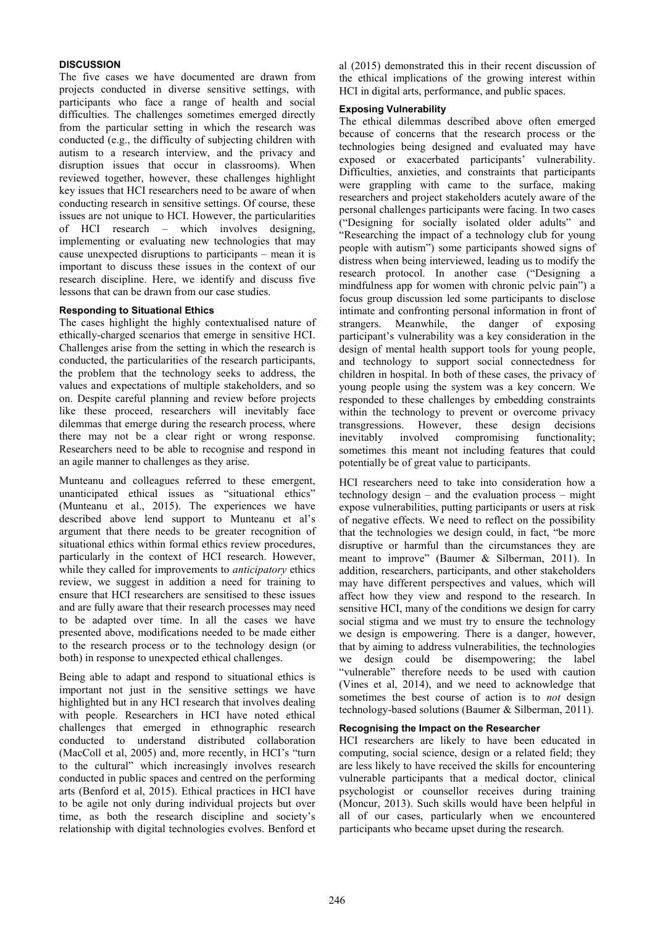## **DISCUSSION**

The five cases we have documented are drawn from projects conducted in diverse sensitive settings, with participants who face a range of health and social difficulties. The challenges sometimes emerged directly from the particular setting in which the research was conducted (e.g., the difficulty of subjecting children with autism to a research interview, and the privacy and disruption issues that occur in classrooms). When reviewed together, however, these challenges highlight key issues that HCI researchers need to be aware of when conducting research in sensitive settings. Of course, these issues are not unique to HCI. However, the particularities of HCI research – which involves designing, implementing or evaluating new technologies that may cause unexpected disruptions to participants – mean it is important to discuss these issues in the context of our research discipline. Here, we identify and discuss five lessons that can be drawn from our case studies.

#### **Responding to Situational Ethics**

The cases highlight the highly contextualised nature of ethically-charged scenarios that emerge in sensitive HCI. Challenges arise from the setting in which the research is conducted, the particularities of the research participants, the problem that the technology seeks to address, the values and expectations of multiple stakeholders, and so on. Despite careful planning and review before projects like these proceed, researchers will inevitably face dilemmas that emerge during the research process, where there may not be a clear right or wrong response. Researchers need to be able to recognise and respond in an agile manner to challenges as they arise.

Munteanu and colleagues referred to these emergent, unanticipated ethical issues as "situational ethics" (Munteanu et al., 2015). The experiences we have described above lend support to Munteanu et al's argument that there needs to be greater recognition of situational ethics within formal ethics review procedures, particularly in the context of HCI research. However, while they called for improvements to *anticipatory* ethics review, we suggest in addition a need for training to ensure that HCI researchers are sensitised to these issues and are fully aware that their research processes may need to be adapted over time. In all the cases we have presented above, modifications needed to be made either to the research process or to the technology design (or both) in response to unexpected ethical challenges.

Being able to adapt and respond to situational ethics is important not just in the sensitive settings we have highlighted but in any HCI research that involves dealing with people. Researchers in HCI have noted ethical challenges that emerged in ethnographic research conducted to understand distributed collaboration (MacColl et al, 2005) and, more recently, in HCI's "turn to the cultural" which increasingly involves research conducted in public spaces and centred on the performing arts (Benford et al, 2015). Ethical practices in HCI have to be agile not only during individual projects but over time, as both the research discipline and society's relationship with digital technologies evolves. Benford et

al (2015) demonstrated this in their recent discussion of the ethical implications of the growing interest within HCI in digital arts, performance, and public spaces.

## **Exposing Vulnerability**

The ethical dilemmas described above often emerged because of concerns that the research process or the technologies being designed and evaluated may have exposed or exacerbated participants' vulnerability. Difficulties, anxieties, and constraints that participants were grappling with came to the surface, making researchers and project stakeholders acutely aware of the personal challenges participants were facing. In two cases ("Designing for socially isolated older adults" and "Researching the impact of a technology club for young people with autism") some participants showed signs of distress when being interviewed, leading us to modify the research protocol. In another case ("Designing a mindfulness app for women with chronic pelvic pain") a focus group discussion led some participants to disclose intimate and confronting personal information in front of strangers. Meanwhile, the danger of exposing participant's vulnerability was a key consideration in the design of mental health support tools for young people, and technology to support social connectedness for children in hospital. In both of these cases, the privacy of young people using the system was a key concern. We responded to these challenges by embedding constraints within the technology to prevent or overcome privacy transgressions. However, these design decisions inevitably involved compromising functionality; sometimes this meant not including features that could potentially be of great value to participants.

HCI researchers need to take into consideration how a technology design – and the evaluation process – might expose vulnerabilities, putting participants or users at risk of negative effects. We need to reflect on the possibility that the technologies we design could, in fact, "be more disruptive or harmful than the circumstances they are meant to improve" (Baumer & Silberman, 2011). In addition, researchers, participants, and other stakeholders may have different perspectives and values, which will affect how they view and respond to the research. In sensitive HCI, many of the conditions we design for carry social stigma and we must try to ensure the technology we design is empowering. There is a danger, however, that by aiming to address vulnerabilities, the technologies we design could be disempowering; the label "vulnerable" therefore needs to be used with caution (Vines et al, 2014), and we need to acknowledge that sometimes the best course of action is to *not* design technology-based solutions (Baumer & Silberman, 2011).

#### **Recognising the Impact on the Researcher**

HCI researchers are likely to have been educated in computing, social science, design or a related field; they are less likely to have received the skills for encountering vulnerable participants that a medical doctor, clinical psychologist or counsellor receives during training (Moncur, 2013). Such skills would have been helpful in all of our cases, particularly when we encountered participants who became upset during the research.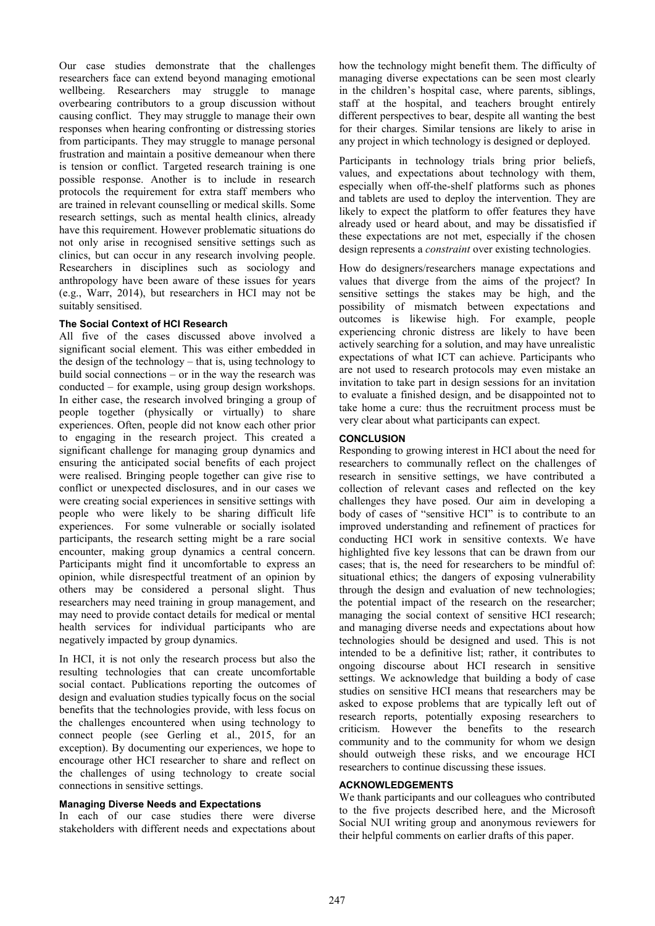Our case studies demonstrate that the challenges researchers face can extend beyond managing emotional wellbeing. Researchers may struggle to manage overbearing contributors to a group discussion without causing conflict. They may struggle to manage their own responses when hearing confronting or distressing stories from participants. They may struggle to manage personal frustration and maintain a positive demeanour when there is tension or conflict. Targeted research training is one possible response. Another is to include in research protocols the requirement for extra staff members who are trained in relevant counselling or medical skills. Some research settings, such as mental health clinics, already have this requirement. However problematic situations do not only arise in recognised sensitive settings such as clinics, but can occur in any research involving people. Researchers in disciplines such as sociology and anthropology have been aware of these issues for years (e.g., Warr, 2014), but researchers in HCI may not be suitably sensitised.

# **The Social Context of HCI Research**

All five of the cases discussed above involved a significant social element. This was either embedded in the design of the technology – that is, using technology to build social connections – or in the way the research was conducted – for example, using group design workshops. In either case, the research involved bringing a group of people together (physically or virtually) to share experiences. Often, people did not know each other prior to engaging in the research project. This created a significant challenge for managing group dynamics and ensuring the anticipated social benefits of each project were realised. Bringing people together can give rise to conflict or unexpected disclosures, and in our cases we were creating social experiences in sensitive settings with people who were likely to be sharing difficult life experiences. For some vulnerable or socially isolated participants, the research setting might be a rare social encounter, making group dynamics a central concern. Participants might find it uncomfortable to express an opinion, while disrespectful treatment of an opinion by others may be considered a personal slight. Thus researchers may need training in group management, and may need to provide contact details for medical or mental health services for individual participants who are negatively impacted by group dynamics.

In HCI, it is not only the research process but also the resulting technologies that can create uncomfortable social contact. Publications reporting the outcomes of design and evaluation studies typically focus on the social benefits that the technologies provide, with less focus on the challenges encountered when using technology to connect people (see Gerling et al., 2015, for an exception). By documenting our experiences, we hope to encourage other HCI researcher to share and reflect on the challenges of using technology to create social connections in sensitive settings.

#### **Managing Diverse Needs and Expectations**

In each of our case studies there were diverse stakeholders with different needs and expectations about how the technology might benefit them. The difficulty of managing diverse expectations can be seen most clearly in the children's hospital case, where parents, siblings, staff at the hospital, and teachers brought entirely different perspectives to bear, despite all wanting the best for their charges. Similar tensions are likely to arise in any project in which technology is designed or deployed.

Participants in technology trials bring prior beliefs, values, and expectations about technology with them, especially when off-the-shelf platforms such as phones and tablets are used to deploy the intervention. They are likely to expect the platform to offer features they have already used or heard about, and may be dissatisfied if these expectations are not met, especially if the chosen design represents a *constraint* over existing technologies.

How do designers/researchers manage expectations and values that diverge from the aims of the project? In sensitive settings the stakes may be high, and the possibility of mismatch between expectations and outcomes is likewise high. For example, people experiencing chronic distress are likely to have been actively searching for a solution, and may have unrealistic expectations of what ICT can achieve. Participants who are not used to research protocols may even mistake an invitation to take part in design sessions for an invitation to evaluate a finished design, and be disappointed not to take home a cure: thus the recruitment process must be very clear about what participants can expect.

#### **CONCLUSION**

Responding to growing interest in HCI about the need for researchers to communally reflect on the challenges of research in sensitive settings, we have contributed a collection of relevant cases and reflected on the key challenges they have posed. Our aim in developing a body of cases of "sensitive HCI" is to contribute to an improved understanding and refinement of practices for conducting HCI work in sensitive contexts. We have highlighted five key lessons that can be drawn from our cases; that is, the need for researchers to be mindful of: situational ethics; the dangers of exposing vulnerability through the design and evaluation of new technologies; the potential impact of the research on the researcher; managing the social context of sensitive HCI research; and managing diverse needs and expectations about how technologies should be designed and used. This is not intended to be a definitive list; rather, it contributes to ongoing discourse about HCI research in sensitive settings. We acknowledge that building a body of case studies on sensitive HCI means that researchers may be asked to expose problems that are typically left out of research reports, potentially exposing researchers to criticism. However the benefits to the research community and to the community for whom we design should outweigh these risks, and we encourage HCI researchers to continue discussing these issues.

#### **ACKNOWLEDGEMENTS**

We thank participants and our colleagues who contributed to the five projects described here, and the Microsoft Social NUI writing group and anonymous reviewers for their helpful comments on earlier drafts of this paper.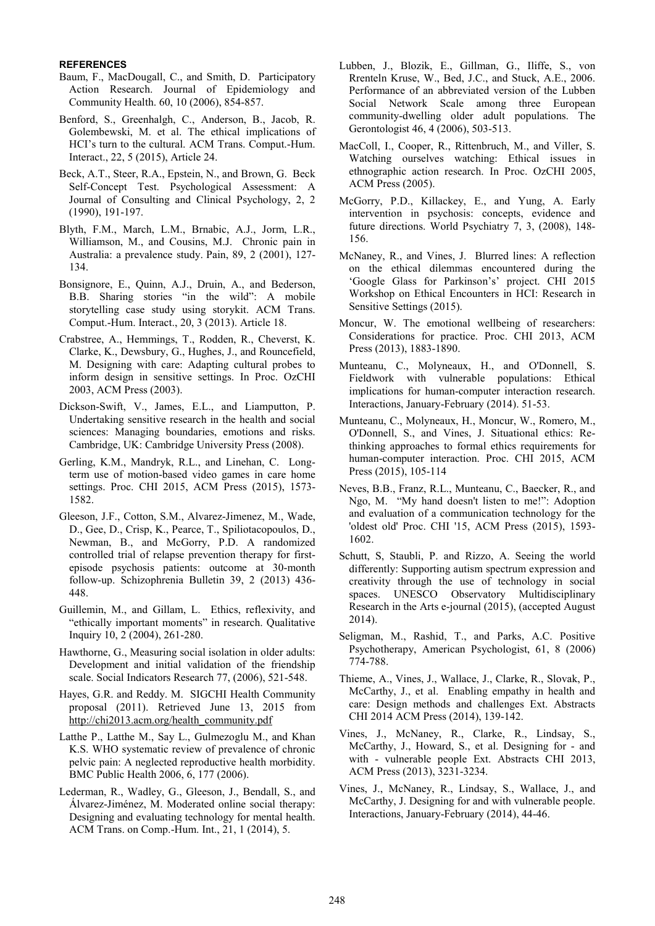## **REFERENCES**

- Baum, F., MacDougall, C., and Smith, D. Participatory Action Research. Journal of Epidemiology and Community Health. 60, 10 (2006), 854-857.
- Benford, S., Greenhalgh, C., Anderson, B., Jacob, R. Golembewski, M. et al. The ethical implications of HCI's turn to the cultural. ACM Trans. Comput.-Hum. Interact., 22, 5 (2015), Article 24.
- Beck, A.T., Steer, R.A., Epstein, N., and Brown, G. Beck Self-Concept Test. Psychological Assessment: A Journal of Consulting and Clinical Psychology, 2, 2 (1990), 191-197.
- Blyth, F.M., March, L.M., Brnabic, A.J., Jorm, L.R., Williamson, M., and Cousins, M.J. Chronic pain in Australia: a prevalence study. Pain, 89, 2 (2001), 127- 134.
- Bonsignore, E., Quinn, A.J., Druin, A., and Bederson, B.B. Sharing stories "in the wild": A mobile storytelling case study using storykit. ACM Trans. Comput.-Hum. Interact., 20, 3 (2013). Article 18.
- Crabstree, A., Hemmings, T., Rodden, R., Cheverst, K. Clarke, K., Dewsbury, G., Hughes, J., and Rouncefield, M. Designing with care: Adapting cultural probes to inform design in sensitive settings. In Proc. OzCHI 2003, ACM Press (2003).
- Dickson-Swift, V., James, E.L., and Liamputton, P. Undertaking sensitive research in the health and social sciences: Managing boundaries, emotions and risks. Cambridge, UK: Cambridge University Press (2008).
- Gerling, K.M., Mandryk, R.L., and Linehan, C. Longterm use of motion-based video games in care home settings. Proc. CHI 2015, ACM Press (2015), 1573- 1582.
- Gleeson, J.F., Cotton, S.M., Alvarez-Jimenez, M., Wade, D., Gee, D., Crisp, K., Pearce, T., Spiliotacopoulos, D., Newman, B., and McGorry, P.D. A randomized controlled trial of relapse prevention therapy for firstepisode psychosis patients: outcome at 30-month follow-up. Schizophrenia Bulletin 39, 2 (2013) 436- 448.
- Guillemin, M., and Gillam, L. Ethics, reflexivity, and "ethically important moments" in research. Qualitative Inquiry 10, 2 (2004), 261-280.
- Hawthorne, G., Measuring social isolation in older adults: Development and initial validation of the friendship scale. Social Indicators Research 77, (2006), 521-548.
- Hayes, G.R. and Reddy. M. SIGCHI Health Community proposal (2011). Retrieved June 13, 2015 from [http://chi2013.acm.org/health\\_community.pdf](http://chi2013.acm.org/health_community.pdf)
- Latthe P., Latthe M., Say L., Gulmezoglu M., and Khan K.S. WHO systematic review of prevalence of chronic pelvic pain: A neglected reproductive health morbidity. BMC Public Health 2006, 6, 177 (2006).
- Lederman, R., Wadley, G., Gleeson, J., Bendall, S., and Álvarez-Jiménez, M. Moderated online social therapy: Designing and evaluating technology for mental health. ACM Trans. on Comp.-Hum. Int., 21, 1 (2014), 5.
- Lubben, J., Blozik, E., Gillman, G., Iliffe, S., von Rrenteln Kruse, W., Bed, J.C., and Stuck, A.E., 2006. Performance of an abbreviated version of the Lubben Social Network Scale among three European community-dwelling older adult populations. The Gerontologist 46, 4 (2006), 503-513.
- MacColl, I., Cooper, R., Rittenbruch, M., and Viller, S. Watching ourselves watching: Ethical issues in ethnographic action research. In Proc. OzCHI 2005, ACM Press (2005).
- McGorry, P.D., Killackey, E., and Yung, A. Early intervention in psychosis: concepts, evidence and future directions. World Psychiatry 7, 3, (2008), 148- 156.
- McNaney, R., and Vines, J. Blurred lines: A reflection on the ethical dilemmas encountered during the 'Google Glass for Parkinson's' project. CHI 2015 Workshop on Ethical Encounters in HCI: Research in Sensitive Settings (2015).
- Moncur, W. The emotional wellbeing of researchers: Considerations for practice. Proc. CHI 2013, ACM Press (2013), 1883-1890.
- Munteanu, C., Molyneaux, H., and O'Donnell, S. Fieldwork with vulnerable populations: Ethical implications for human-computer interaction research. Interactions, January-February (2014). 51-53.
- Munteanu, C., Molyneaux, H., Moncur, W., Romero, M., O'Donnell, S., and Vines, J. Situational ethics: Rethinking approaches to formal ethics requirements for human-computer interaction. Proc. CHI 2015, ACM Press (2015), 105-114
- Neves, B.B., Franz, R.L., Munteanu, C., Baecker, R., and Ngo, M. "My hand doesn't listen to me!": Adoption and evaluation of a communication technology for the 'oldest old' Proc. CHI '15, ACM Press (2015), 1593- 1602.
- Schutt, S, Staubli, P. and Rizzo, A. Seeing the world differently: Supporting autism spectrum expression and creativity through the use of technology in social spaces. UNESCO Observatory Multidisciplinary Research in the Arts e-journal (2015), (accepted August 2014).
- Seligman, M., Rashid, T., and Parks, A.C. Positive Psychotherapy, American Psychologist, 61, 8 (2006) 774-788.
- Thieme, A., Vines, J., Wallace, J., Clarke, R., Slovak, P., McCarthy, J., et al. Enabling empathy in health and care: Design methods and challenges Ext. Abstracts CHI 2014 ACM Press (2014), 139-142.
- Vines, J., McNaney, R., Clarke, R., Lindsay, S., McCarthy, J., Howard, S., et al. Designing for - and with - vulnerable people Ext. Abstracts CHI 2013, ACM Press (2013), 3231-3234.
- Vines, J., McNaney, R., Lindsay, S., Wallace, J., and McCarthy, J. Designing for and with vulnerable people. Interactions, January-February (2014), 44-46.